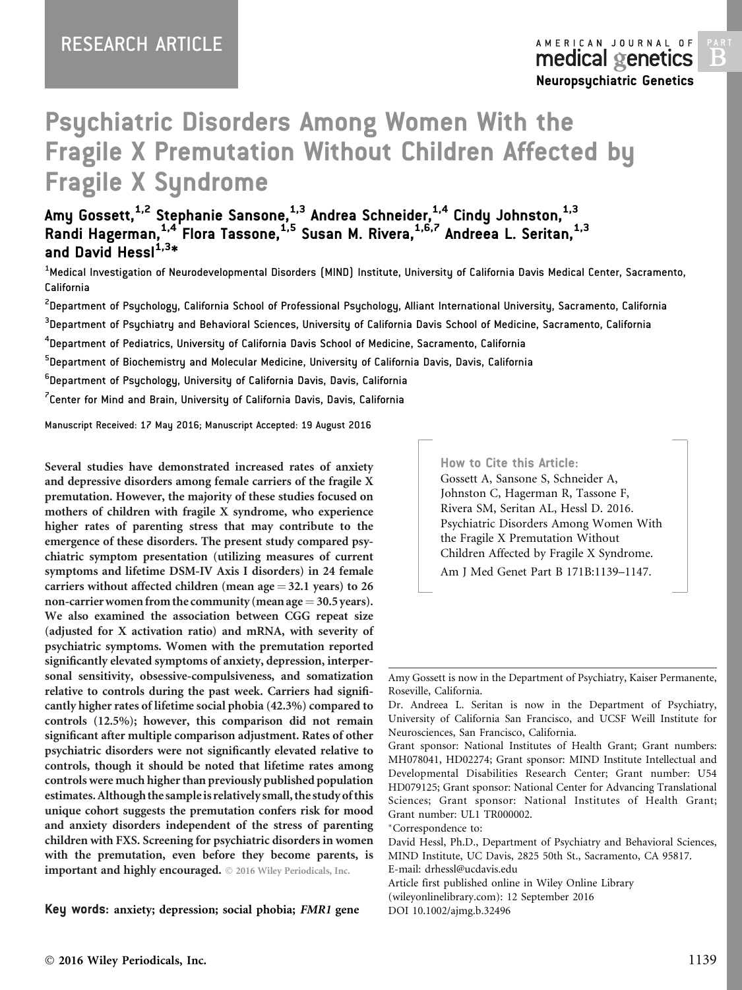# Psychiatric Disorders Among Women With the Fragile X Premutation Without Children Affected by Fragile X Syndrome

Amy Gossett, $^{\rm 1,2}$  Stephanie Sansone, $^{\rm 1,3}_{-}$  Andrea Schneider, $^{\rm 1,4}_{-}$  Cindy Johnston, $^{\rm 1,3}_{-}$ Randi Hagerman, $^{1,4}_{1}$  Flora Tassone, $^{1,5}_{1,5}$  Susan M. Rivera, $^{1,6,7}_{1,6,7}$  Andreea L. Seritan, $^{1,3}_{1,3}$ and David Hessl $^{1,3*}$ 

 $^{\rm 1}$ Medical Investigation of Neurodevelopmental Disorders (MIND) Institute, University of California Davis Medical Center, Sacramento, California

<sup>2</sup>Department of Psychology, California School of Professional Psychology, Alliant International University, Sacramento, California

 $^{\rm 3}$ Department of Psychiatry and Behavioral Sciences, University of California Davis School of Medicine, Sacramento, California

 $^{\rm 4}$ Department of Pediatrics, University of California Davis School of Medicine, Sacramento, California

<sup>5</sup>Department of Biochemistry and Molecular Medicine, University of California Davis, Davis, California

 $^6$ Department of Psychology, University of California Davis, Davis, California

 $\mathrm{^{7}}$ Center for Mind and Brain, University of California Davis, Davis, California

Manuscript Received: 17 May 2016; Manuscript Accepted: 19 August 2016

Several studies have demonstrated increased rates of anxiety and depressive disorders among female carriers of the fragile X premutation. However, the majority of these studies focused on mothers of children with fragile X syndrome, who experience higher rates of parenting stress that may contribute to the emergence of these disorders. The present study compared psychiatric symptom presentation (utilizing measures of current symptoms and lifetime DSM-IV Axis I disorders) in 24 female carriers without affected children (mean age  $=$  32.1 years) to 26 non-carrier women from the community (mean age  $=$  30.5 years). We also examined the association between CGG repeat size (adjusted for X activation ratio) and mRNA, with severity of psychiatric symptoms. Women with the premutation reported significantly elevated symptoms of anxiety, depression, interpersonal sensitivity, obsessive-compulsiveness, and somatization relative to controls during the past week. Carriers had significantly higher rates of lifetime social phobia (42.3%) compared to controls (12.5%); however, this comparison did not remain significant after multiple comparison adjustment. Rates of other psychiatric disorders were not significantly elevated relative to controls, though it should be noted that lifetime rates among controls were much higher than previously published population estimates.Although the sampleis relatively small, the study of this unique cohort suggests the premutation confers risk for mood and anxiety disorders independent of the stress of parenting children with FXS. Screening for psychiatric disorders in women with the premutation, even before they become parents, is important and highly encouraged.  $©$  2016 Wiley Periodicals, Inc.

Key words: anxiety; depression; social phobia; FMR1 gene

How to Cite this Article: Gossett A, Sansone S, Schneider A, Johnston C, Hagerman R, Tassone F, Rivera SM, Seritan AL, Hessl D. 2016. Psychiatric Disorders Among Women With the Fragile X Premutation Without Children Affected by Fragile X Syndrome. Am J Med Genet Part B 171B:1139–1147.

Grant sponsor: National Institutes of Health Grant; Grant numbers: MH078041, HD02274; Grant sponsor: MIND Institute Intellectual and Developmental Disabilities Research Center; Grant number: U54 HD079125; Grant sponsor: National Center for Advancing Translational Sciences; Grant sponsor: National Institutes of Health Grant; Grant number: UL1 TR000002.

-Correspondence to:

David Hessl, Ph.D., Department of Psychiatry and Behavioral Sciences, MIND Institute, UC Davis, 2825 50th St., Sacramento, CA 95817. E-mail: drhessl@ucdavis.edu

Article first published online in Wiley Online Library (wileyonlinelibrary.com): 12 September 2016 DOI 10.1002/ajmg.b.32496

Amy Gossett is now in the Department of Psychiatry, Kaiser Permanente, Roseville, California.

Dr. Andreea L. Seritan is now in the Department of Psychiatry, University of California San Francisco, and UCSF Weill Institute for Neurosciences, San Francisco, California.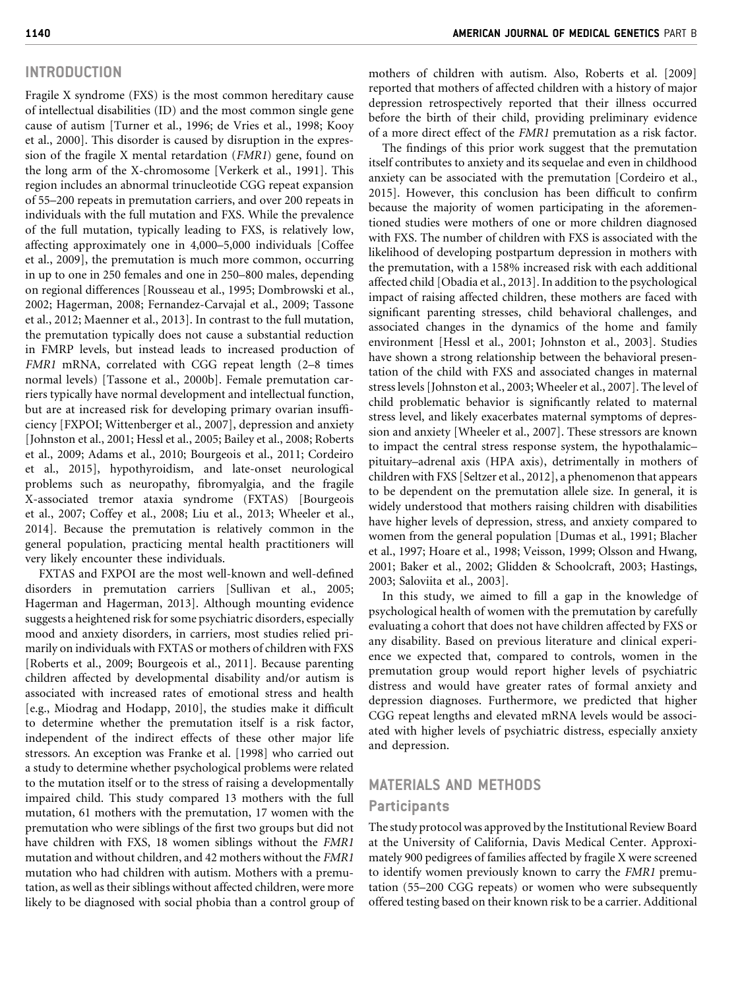## INTRODUCTION

Fragile X syndrome (FXS) is the most common hereditary cause of intellectual disabilities (ID) and the most common single gene cause of autism [Turner et al., 1996; de Vries et al., 1998; Kooy et al., 2000]. This disorder is caused by disruption in the expression of the fragile X mental retardation (FMR1) gene, found on the long arm of the X-chromosome [Verkerk et al., 1991]. This region includes an abnormal trinucleotide CGG repeat expansion of 55–200 repeats in premutation carriers, and over 200 repeats in individuals with the full mutation and FXS. While the prevalence of the full mutation, typically leading to FXS, is relatively low, affecting approximately one in 4,000–5,000 individuals [Coffee et al., 2009], the premutation is much more common, occurring in up to one in 250 females and one in 250–800 males, depending on regional differences [Rousseau et al., 1995; Dombrowski et al., 2002; Hagerman, 2008; Fernandez-Carvajal et al., 2009; Tassone et al., 2012; Maenner et al., 2013]. In contrast to the full mutation, the premutation typically does not cause a substantial reduction in FMRP levels, but instead leads to increased production of FMR1 mRNA, correlated with CGG repeat length (2–8 times normal levels) [Tassone et al., 2000b]. Female premutation carriers typically have normal development and intellectual function, but are at increased risk for developing primary ovarian insufficiency [FXPOI; Wittenberger et al., 2007], depression and anxiety [Johnston et al., 2001; Hessl et al., 2005; Bailey et al., 2008; Roberts et al., 2009; Adams et al., 2010; Bourgeois et al., 2011; Cordeiro et al., 2015], hypothyroidism, and late-onset neurological problems such as neuropathy, fibromyalgia, and the fragile X-associated tremor ataxia syndrome (FXTAS) [Bourgeois et al., 2007; Coffey et al., 2008; Liu et al., 2013; Wheeler et al., 2014]. Because the premutation is relatively common in the general population, practicing mental health practitioners will very likely encounter these individuals.

FXTAS and FXPOI are the most well-known and well-defined disorders in premutation carriers [Sullivan et al., 2005; Hagerman and Hagerman, 2013]. Although mounting evidence suggests a heightened risk for some psychiatric disorders, especially mood and anxiety disorders, in carriers, most studies relied primarily on individuals with FXTAS or mothers of children with FXS [Roberts et al., 2009; Bourgeois et al., 2011]. Because parenting children affected by developmental disability and/or autism is associated with increased rates of emotional stress and health [e.g., Miodrag and Hodapp, 2010], the studies make it difficult to determine whether the premutation itself is a risk factor, independent of the indirect effects of these other major life stressors. An exception was Franke et al. [1998] who carried out a study to determine whether psychological problems were related to the mutation itself or to the stress of raising a developmentally impaired child. This study compared 13 mothers with the full mutation, 61 mothers with the premutation, 17 women with the premutation who were siblings of the first two groups but did not have children with FXS, 18 women siblings without the FMR1 mutation and without children, and 42 mothers without the FMR1 mutation who had children with autism. Mothers with a premutation, as well as their siblings without affected children, were more likely to be diagnosed with social phobia than a control group of mothers of children with autism. Also, Roberts et al. [2009] reported that mothers of affected children with a history of major depression retrospectively reported that their illness occurred before the birth of their child, providing preliminary evidence of a more direct effect of the FMR1 premutation as a risk factor.

The findings of this prior work suggest that the premutation itself contributes to anxiety and its sequelae and even in childhood anxiety can be associated with the premutation [Cordeiro et al., 2015]. However, this conclusion has been difficult to confirm because the majority of women participating in the aforementioned studies were mothers of one or more children diagnosed with FXS. The number of children with FXS is associated with the likelihood of developing postpartum depression in mothers with the premutation, with a 158% increased risk with each additional affected child [Obadia et al., 2013]. In addition to the psychological impact of raising affected children, these mothers are faced with significant parenting stresses, child behavioral challenges, and associated changes in the dynamics of the home and family environment [Hessl et al., 2001; Johnston et al., 2003]. Studies have shown a strong relationship between the behavioral presentation of the child with FXS and associated changes in maternal stress levels [Johnston et al., 2003; Wheeler et al., 2007]. The level of child problematic behavior is significantly related to maternal stress level, and likely exacerbates maternal symptoms of depression and anxiety [Wheeler et al., 2007]. These stressors are known to impact the central stress response system, the hypothalamic– pituitary–adrenal axis (HPA axis), detrimentally in mothers of children with FXS [Seltzer et al., 2012], a phenomenon that appears to be dependent on the premutation allele size. In general, it is widely understood that mothers raising children with disabilities have higher levels of depression, stress, and anxiety compared to women from the general population [Dumas et al., 1991; Blacher et al., 1997; Hoare et al., 1998; Veisson, 1999; Olsson and Hwang, 2001; Baker et al., 2002; Glidden & Schoolcraft, 2003; Hastings, 2003; Saloviita et al., 2003].

In this study, we aimed to fill a gap in the knowledge of psychological health of women with the premutation by carefully evaluating a cohort that does not have children affected by FXS or any disability. Based on previous literature and clinical experience we expected that, compared to controls, women in the premutation group would report higher levels of psychiatric distress and would have greater rates of formal anxiety and depression diagnoses. Furthermore, we predicted that higher CGG repeat lengths and elevated mRNA levels would be associated with higher levels of psychiatric distress, especially anxiety and depression.

## MATERIALS AND METHODS

#### **Participants**

The study protocol was approved by the Institutional Review Board at the University of California, Davis Medical Center. Approximately 900 pedigrees of families affected by fragile X were screened to identify women previously known to carry the FMR1 premutation (55–200 CGG repeats) or women who were subsequently offered testing based on their known risk to be a carrier. Additional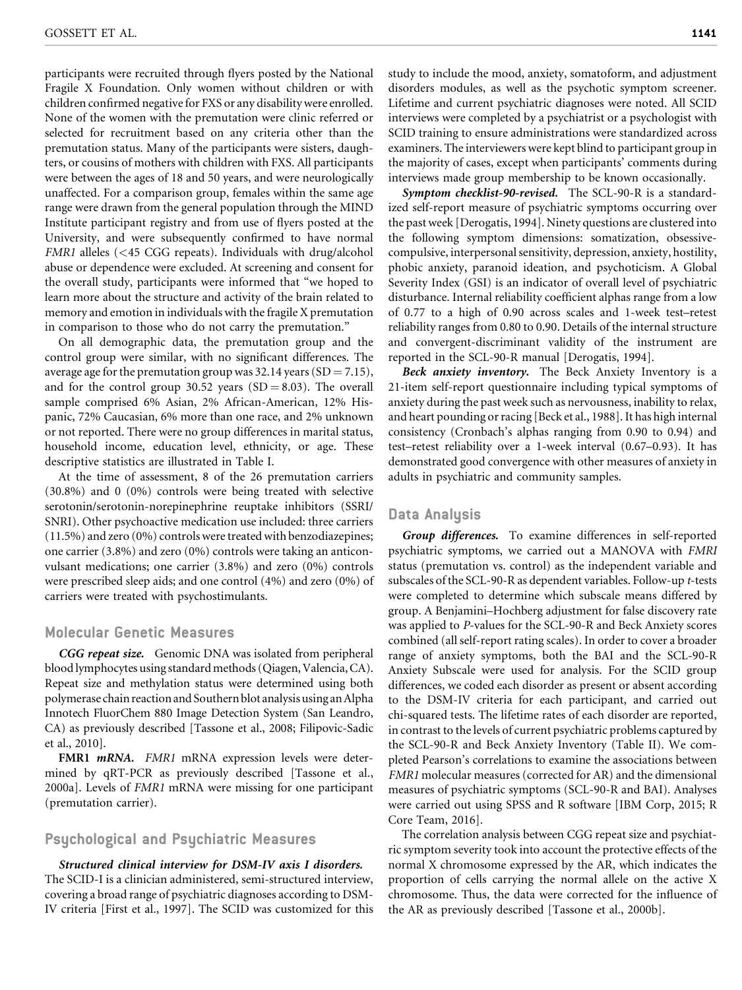participants were recruited through flyers posted by the National Fragile X Foundation. Only women without children or with children confirmed negative for FXS or any disability were enrolled. None of the women with the premutation were clinic referred or selected for recruitment based on any criteria other than the premutation status. Many of the participants were sisters, daughters, or cousins of mothers with children with FXS. All participants were between the ages of 18 and 50 years, and were neurologically unaffected. For a comparison group, females within the same age range were drawn from the general population through the MIND Institute participant registry and from use of flyers posted at the University, and were subsequently confirmed to have normal FMR1 alleles (<45 CGG repeats). Individuals with drug/alcohol abuse or dependence were excluded. At screening and consent for the overall study, participants were informed that "we hoped to learn more about the structure and activity of the brain related to memory and emotion in individuals with the fragile X premutation in comparison to those who do not carry the premutation."

On all demographic data, the premutation group and the control group were similar, with no significant differences. The average age for the premutation group was 32.14 years (SD = 7.15), and for the control group 30.52 years  $(SD = 8.03)$ . The overall sample comprised 6% Asian, 2% African-American, 12% Hispanic, 72% Caucasian, 6% more than one race, and 2% unknown or not reported. There were no group differences in marital status, household income, education level, ethnicity, or age. These descriptive statistics are illustrated in Table I.

At the time of assessment, 8 of the 26 premutation carriers (30.8%) and 0 (0%) controls were being treated with selective serotonin/serotonin-norepinephrine reuptake inhibitors (SSRI/ SNRI). Other psychoactive medication use included: three carriers (11.5%) and zero (0%) controls were treated with benzodiazepines; one carrier (3.8%) and zero (0%) controls were taking an anticonvulsant medications; one carrier (3.8%) and zero (0%) controls were prescribed sleep aids; and one control (4%) and zero (0%) of carriers were treated with psychostimulants.

#### Molecular Genetic Measures

CGG repeat size. Genomic DNA was isolated from peripheral blood lymphocytes using standard methods (Qiagen, Valencia, CA). Repeat size and methylation status were determined using both polymerase chain reaction and Southern blot analysis using anAlpha Innotech FluorChem 880 Image Detection System (San Leandro, CA) as previously described [Tassone et al., 2008; Filipovic-Sadic et al., 2010].

FMR1 *mRNA*. FMR1 mRNA expression levels were determined by qRT-PCR as previously described [Tassone et al., 2000a]. Levels of FMR1 mRNA were missing for one participant (premutation carrier).

#### Psychological and Psychiatric Measures

Structured clinical interview for DSM-IV axis I disorders. The SCID-I is a clinician administered, semi-structured interview, covering a broad range of psychiatric diagnoses according to DSM-IV criteria [First et al., 1997]. The SCID was customized for this study to include the mood, anxiety, somatoform, and adjustment disorders modules, as well as the psychotic symptom screener. Lifetime and current psychiatric diagnoses were noted. All SCID interviews were completed by a psychiatrist or a psychologist with SCID training to ensure administrations were standardized across examiners. The interviewers were kept blind to participant group in the majority of cases, except when participants' comments during interviews made group membership to be known occasionally.

Symptom checklist-90-revised. The SCL-90-R is a standardized self-report measure of psychiatric symptoms occurring over the past week [Derogatis, 1994]. Ninety questions are clustered into the following symptom dimensions: somatization, obsessivecompulsive, interpersonal sensitivity, depression, anxiety, hostility, phobic anxiety, paranoid ideation, and psychoticism. A Global Severity Index (GSI) is an indicator of overall level of psychiatric disturbance. Internal reliability coefficient alphas range from a low of 0.77 to a high of 0.90 across scales and 1-week test–retest reliability ranges from 0.80 to 0.90. Details of the internal structure and convergent-discriminant validity of the instrument are reported in the SCL-90-R manual [Derogatis, 1994].

Beck anxiety inventory. The Beck Anxiety Inventory is a 21-item self-report questionnaire including typical symptoms of anxiety during the past week such as nervousness, inability to relax, and heart pounding or racing [Beck et al., 1988]. It has high internal consistency (Cronbach's alphas ranging from 0.90 to 0.94) and test–retest reliability over a 1-week interval (0.67–0.93). It has demonstrated good convergence with other measures of anxiety in adults in psychiatric and community samples.

#### Data Analysis

Group differences. To examine differences in self-reported psychiatric symptoms, we carried out a MANOVA with FMRI status (premutation vs. control) as the independent variable and subscales of the SCL-90-R as dependent variables. Follow-up t-tests were completed to determine which subscale means differed by group. A Benjamini–Hochberg adjustment for false discovery rate was applied to P-values for the SCL-90-R and Beck Anxiety scores combined (all self-report rating scales). In order to cover a broader range of anxiety symptoms, both the BAI and the SCL-90-R Anxiety Subscale were used for analysis. For the SCID group differences, we coded each disorder as present or absent according to the DSM-IV criteria for each participant, and carried out chi-squared tests. The lifetime rates of each disorder are reported, in contrast to the levels of current psychiatric problems captured by the SCL-90-R and Beck Anxiety Inventory (Table II). We completed Pearson's correlations to examine the associations between FMR1 molecular measures (corrected for AR) and the dimensional measures of psychiatric symptoms (SCL-90-R and BAI). Analyses were carried out using SPSS and R software [IBM Corp, 2015; R Core Team, 2016].

The correlation analysis between CGG repeat size and psychiatric symptom severity took into account the protective effects of the normal X chromosome expressed by the AR, which indicates the proportion of cells carrying the normal allele on the active X chromosome. Thus, the data were corrected for the influence of the AR as previously described [Tassone et al., 2000b].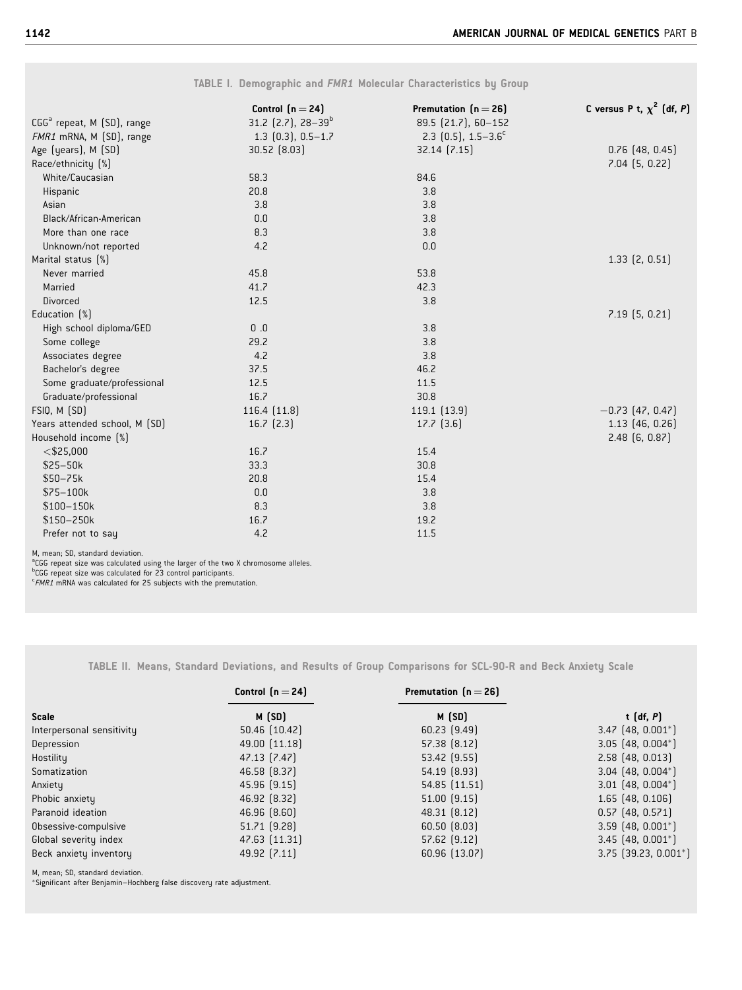|                                                                                                                                                                                                                                                                                            | Control $(n=24)$                  | Premutation $[n=26]$               | C versus P t, $\chi^2$ (df, P) |
|--------------------------------------------------------------------------------------------------------------------------------------------------------------------------------------------------------------------------------------------------------------------------------------------|-----------------------------------|------------------------------------|--------------------------------|
| CGG <sup>a</sup> repeat, M (SD), range                                                                                                                                                                                                                                                     | 31.2 $(2.7)$ , 28-39 <sup>b</sup> | 89.5 (21.7), 60-152                |                                |
| FMR1 mRNA, M (SD), range                                                                                                                                                                                                                                                                   | $1.3$ $(0.3)$ , $0.5-1.7$         | 2.3 $[0.5]$ , 1.5-3.6 <sup>c</sup> |                                |
| Age (years), M (SD)                                                                                                                                                                                                                                                                        | 30.52 [8.03]                      | $32.14$ $(7.15)$                   | $0.76$ $(48, 0.45)$            |
| Race/ethnicity [%]                                                                                                                                                                                                                                                                         |                                   |                                    | $7.04$ $(5, 0.22)$             |
| White/Caucasian                                                                                                                                                                                                                                                                            | 58.3                              | 84.6                               |                                |
| Hispanic                                                                                                                                                                                                                                                                                   | 20.8                              | 3.8                                |                                |
| Asian                                                                                                                                                                                                                                                                                      | 3.8                               | 3.8                                |                                |
| Black/African-American                                                                                                                                                                                                                                                                     | 0.0                               | 3.8                                |                                |
| More than one race                                                                                                                                                                                                                                                                         | 8.3                               | 3.8                                |                                |
| Unknown/not reported                                                                                                                                                                                                                                                                       | 4.2                               | 0.0                                |                                |
| Marital status [%]                                                                                                                                                                                                                                                                         |                                   |                                    | $1.33$ $(2, 0.51)$             |
| Never married                                                                                                                                                                                                                                                                              | 45.8                              | 53.8                               |                                |
| Married                                                                                                                                                                                                                                                                                    | 41.7                              | 42.3                               |                                |
| <b>Divorced</b>                                                                                                                                                                                                                                                                            | 12.5                              | 3.8                                |                                |
| Education [%]                                                                                                                                                                                                                                                                              |                                   |                                    | $7.19$ $(5, 0.21)$             |
| High school diploma/GED                                                                                                                                                                                                                                                                    | 0.0                               | 3.8                                |                                |
| Some college                                                                                                                                                                                                                                                                               | 29.2                              | 3.8                                |                                |
| Associates degree                                                                                                                                                                                                                                                                          | 4.2                               | 3.8                                |                                |
| Bachelor's degree                                                                                                                                                                                                                                                                          | 37.5                              | 46.2                               |                                |
| Some graduate/professional                                                                                                                                                                                                                                                                 | 12.5                              | 11.5                               |                                |
| Graduate/professional                                                                                                                                                                                                                                                                      | 16.7                              | 30.8                               |                                |
| FSIQ, M (SD)                                                                                                                                                                                                                                                                               | 116.4 (11.8)                      | 119.1 (13.9)                       | $-0.73$ (47, 0.47)             |
| Years attended school, M (SD)                                                                                                                                                                                                                                                              | $16.7$ $(2.3)$                    | $17.7$ $(3.6)$                     | $1.13$ $(46, 0.26)$            |
| Household income (%)                                                                                                                                                                                                                                                                       |                                   |                                    | $2.48$ $(6, 0.87)$             |
| $<$ \$25,000                                                                                                                                                                                                                                                                               | 16.7                              | 15.4                               |                                |
| $$25 - 50k$                                                                                                                                                                                                                                                                                | 33.3                              | 30.8                               |                                |
| $$50 - 75k$                                                                                                                                                                                                                                                                                | 20.8                              | 15.4                               |                                |
| $$75-100k$                                                                                                                                                                                                                                                                                 | 0.0                               | 3.8                                |                                |
| \$100-150k                                                                                                                                                                                                                                                                                 | 8.3                               | 3.8                                |                                |
| \$150-250k                                                                                                                                                                                                                                                                                 | 16.7                              | 19.2                               |                                |
| Prefer not to say                                                                                                                                                                                                                                                                          | 4.2                               | 11.5                               |                                |
| M, mean; SD, standard deviation.<br><sup>a</sup> CGG repeat size was calculated using the larger of the two X chromosome alleles.<br><sup>b</sup> CGG repeat size was calculated for 23 control participants.<br>$\epsilon$ FMR1 mRNA was calculated for 25 subjects with the premutation. |                                   |                                    |                                |

TABLE II. Means, Standard Deviations, and Results of Group Comparisons for SCL-90-R and Beck Anxiety Scale

|                           | Control $[n=24]$ | Premutation $[n=26]$ |                           |
|---------------------------|------------------|----------------------|---------------------------|
| <b>Scale</b>              | M(SD)            | M(SD)                | t $(df, P)$               |
| Interpersonal sensitivity | 50.46 (10.42)    | $60.23$ $(9.49)$     | $3.47$ $(48, 0.001^*)$    |
| Depression                | 49.00 (11.18)    | 57.38 [8.12]         | $3.05$ $(48, 0.004^*)$    |
| Hostility                 | 47.13 [7.47]     | 53.42 [9.55]         | $2.58$ (48, 0.013)        |
| Somatization              | 46.58 [8.37]     | 54.19 [8.93]         | $3.04$ (48, 0.004*)       |
| Anxiety                   | $45.96$ $(9.15)$ | 54.85 [11.51]        | $3.01$ (48, 0.004*)       |
| Phobic anxiety            | 46.92 [8.32]     | $51.00$ $(9.15)$     | $1.65$ (48, 0.106)        |
| Paranoid ideation         | 46.96 (8.60)     | 48.31 [8.12]         | $0.57$ (48, 0.571)        |
| Obsessive-compulsive      | 51.71 (9.28)     | $60.50$ $(8.03)$     | $3.59$ (48, 0.001*)       |
| Global severity index     | 47.63 (11.31)    | 57.62 [9.12]         | $3.45$ (48, 0.001*)       |
| Beck anxiety inventory    | 49.92 [7.11]     | 60.96 (13.07)        | $3.75$ $(39.23, 0.001^*)$ |

M, mean; SD, standard deviation. -Significant after Benjamin–Hochberg false discovery rate adjustment.

TABLE I. Demographic and FMR1 Molecular Characteristics by Group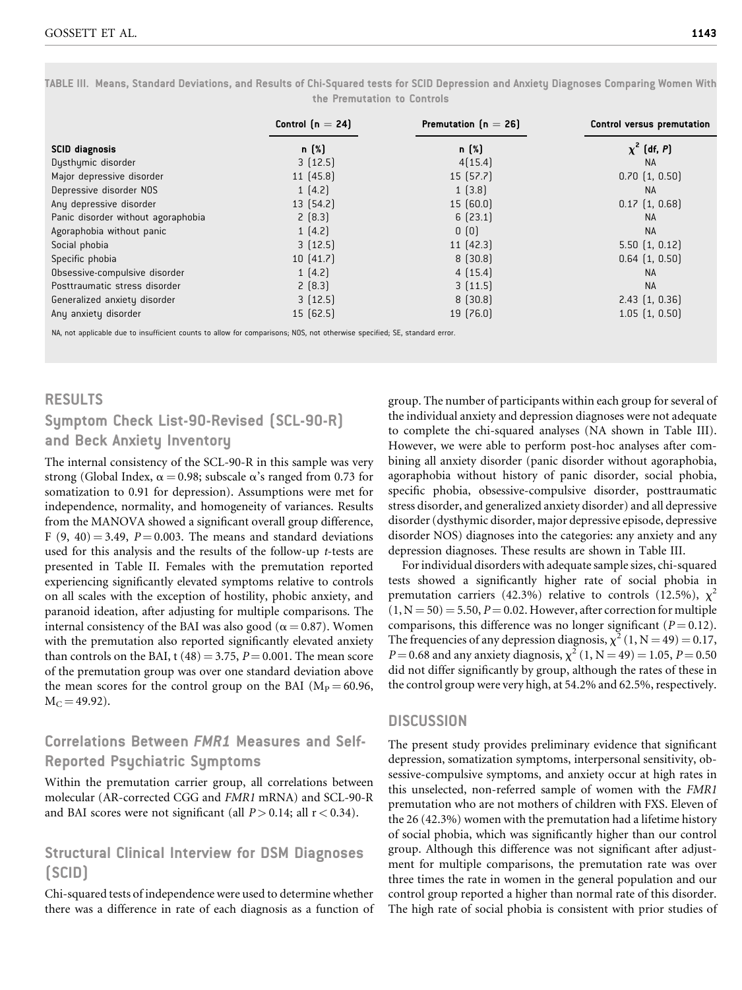TABLE III. Means, Standard Deviations, and Results of Chi-Squared tests for SCID Depression and Anxiety Diagnoses Comparing Women With the Premutation to Controls

|                                    | Control $(n = 24)$ | Premutation $[n = 26]$ | Control versus premutation |
|------------------------------------|--------------------|------------------------|----------------------------|
| <b>SCID</b> diagnosis              | n [%]              | n [%]                  | $\chi^2$ (df, P)           |
| Dysthymic disorder                 | 3(12.5)            | 4[15.4]                | <b>NA</b>                  |
| Major depressive disorder          | 11[45.8]           | 15(57.7)               | $0.70$ $(1, 0.50)$         |
| Depressive disorder NOS            | 1(4.2)             | 1(3.8)                 | <b>NA</b>                  |
| Any depressive disorder            | 13 (54.2)          | 15(60.0)               | $0.17$ $(1, 0.68)$         |
| Panic disorder without agoraphobia | 2(8.3)             | 6(23.1)                | <b>NA</b>                  |
| Agoraphobia without panic          | 1(4.2)             | 0(0)                   | <b>NA</b>                  |
| Social phobia                      | 3(12.5)            | 11 $[42.3]$            | $5.50$ $(1, 0.12)$         |
| Specific phobia                    | 10(41.7)           | 8(30.8)                | $0.64$ $(1, 0.50)$         |
| Obsessive-compulsive disorder      | 1(4.2)             | 4(15.4)                | <b>NA</b>                  |
| Posttraumatic stress disorder      | 2(8.3)             | 3(11.5)                | <b>NA</b>                  |
| Generalized anxiety disorder       | 3(12.5)            | 8(30.8)                | $2.43$ $(1, 0.36)$         |
| Any anxiety disorder               | 15(62.5)           | 19(76.0)               | $1.05$ $(1, 0.50)$         |

NA, not applicable due to insufficient counts to allow for comparisons; NOS, not otherwise specified; SE, standard error.

#### RESULTS

# Symptom Check List-90-Revised (SCL-90-R) and Beck Anxiety Inventory

The internal consistency of the SCL-90-R in this sample was very strong (Global Index,  $\alpha = 0.98$ ; subscale  $\alpha$ 's ranged from 0.73 for somatization to 0.91 for depression). Assumptions were met for independence, normality, and homogeneity of variances. Results from the MANOVA showed a significant overall group difference, F  $(9, 40) = 3.49$ ,  $P = 0.003$ . The means and standard deviations used for this analysis and the results of the follow-up t-tests are presented in Table II. Females with the premutation reported experiencing significantly elevated symptoms relative to controls on all scales with the exception of hostility, phobic anxiety, and paranoid ideation, after adjusting for multiple comparisons. The internal consistency of the BAI was also good ( $\alpha$  = 0.87). Women with the premutation also reported significantly elevated anxiety than controls on the BAI, t (48) = 3.75,  $P = 0.001$ . The mean score of the premutation group was over one standard deviation above the mean scores for the control group on the BAI ( $M<sub>P</sub> = 60.96$ ,  $M_C = 49.92$ .

# Correlations Between FMR1 Measures and Self-Reported Psychiatric Symptoms

Within the premutation carrier group, all correlations between molecular (AR-corrected CGG and FMR1 mRNA) and SCL-90-R and BAI scores were not significant (all  $P > 0.14$ ; all  $r < 0.34$ ).

## Structural Clinical Interview for DSM Diagnoses (SCID)

Chi-squared tests of independence were used to determine whether there was a difference in rate of each diagnosis as a function of group. The number of participants within each group for several of the individual anxiety and depression diagnoses were not adequate to complete the chi-squared analyses (NA shown in Table III). However, we were able to perform post-hoc analyses after combining all anxiety disorder (panic disorder without agoraphobia, agoraphobia without history of panic disorder, social phobia, specific phobia, obsessive-compulsive disorder, posttraumatic stress disorder, and generalized anxiety disorder) and all depressive disorder (dysthymic disorder, major depressive episode, depressive disorder NOS) diagnoses into the categories: any anxiety and any depression diagnoses. These results are shown in Table III.

For individual disorders with adequate sample sizes, chi-squared tests showed a significantly higher rate of social phobia in premutation carriers (42.3%) relative to controls (12.5%),  $\chi^2$  $(1, N = 50) = 5.50, P = 0.02$ . However, after correction for multiple comparisons, this difference was no longer significant ( $P = 0.12$ ). The frequencies of any depression diagnosis,  $\chi^2$  (1, N = 49) = 0.17,  $P = 0.68$  and any anxiety diagnosis,  $\chi^2$  (1, N = 49) = 1.05, P = 0.50 did not differ significantly by group, although the rates of these in the control group were very high, at 54.2% and 62.5%, respectively.

## **DISCUSSION**

The present study provides preliminary evidence that significant depression, somatization symptoms, interpersonal sensitivity, obsessive-compulsive symptoms, and anxiety occur at high rates in this unselected, non-referred sample of women with the FMR1 premutation who are not mothers of children with FXS. Eleven of the 26 (42.3%) women with the premutation had a lifetime history of social phobia, which was significantly higher than our control group. Although this difference was not significant after adjustment for multiple comparisons, the premutation rate was over three times the rate in women in the general population and our control group reported a higher than normal rate of this disorder. The high rate of social phobia is consistent with prior studies of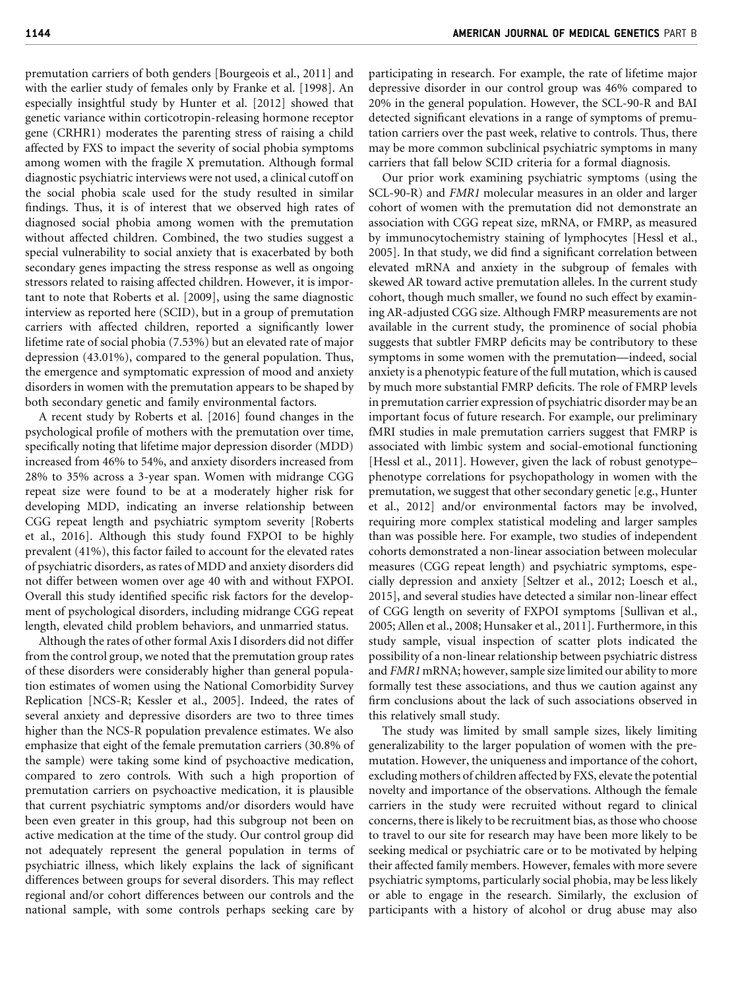premutation carriers of both genders [Bourgeois et al., 2011] and with the earlier study of females only by Franke et al. [1998]. An especially insightful study by Hunter et al. [2012] showed that genetic variance within corticotropin-releasing hormone receptor gene (CRHR1) moderates the parenting stress of raising a child affected by FXS to impact the severity of social phobia symptoms among women with the fragile X premutation. Although formal diagnostic psychiatric interviews were not used, a clinical cutoff on the social phobia scale used for the study resulted in similar findings. Thus, it is of interest that we observed high rates of diagnosed social phobia among women with the premutation without affected children. Combined, the two studies suggest a special vulnerability to social anxiety that is exacerbated by both secondary genes impacting the stress response as well as ongoing stressors related to raising affected children. However, it is important to note that Roberts et al. [2009], using the same diagnostic interview as reported here (SCID), but in a group of premutation carriers with affected children, reported a significantly lower lifetime rate of social phobia (7.53%) but an elevated rate of major depression (43.01%), compared to the general population. Thus, the emergence and symptomatic expression of mood and anxiety disorders in women with the premutation appears to be shaped by both secondary genetic and family environmental factors.

A recent study by Roberts et al. [2016] found changes in the psychological profile of mothers with the premutation over time, specifically noting that lifetime major depression disorder (MDD) increased from 46% to 54%, and anxiety disorders increased from 28% to 35% across a 3-year span. Women with midrange CGG repeat size were found to be at a moderately higher risk for developing MDD, indicating an inverse relationship between CGG repeat length and psychiatric symptom severity [Roberts et al., 2016]. Although this study found FXPOI to be highly prevalent (41%), this factor failed to account for the elevated rates of psychiatric disorders, as rates of MDD and anxiety disorders did not differ between women over age 40 with and without FXPOI. Overall this study identified specific risk factors for the development of psychological disorders, including midrange CGG repeat length, elevated child problem behaviors, and unmarried status.

Although the rates of other formal Axis I disorders did not differ from the control group, we noted that the premutation group rates of these disorders were considerably higher than general population estimates of women using the National Comorbidity Survey Replication [NCS-R; Kessler et al., 2005]. Indeed, the rates of several anxiety and depressive disorders are two to three times higher than the NCS-R population prevalence estimates. We also emphasize that eight of the female premutation carriers (30.8% of the sample) were taking some kind of psychoactive medication, compared to zero controls. With such a high proportion of premutation carriers on psychoactive medication, it is plausible that current psychiatric symptoms and/or disorders would have been even greater in this group, had this subgroup not been on active medication at the time of the study. Our control group did not adequately represent the general population in terms of psychiatric illness, which likely explains the lack of significant differences between groups for several disorders. This may reflect regional and/or cohort differences between our controls and the national sample, with some controls perhaps seeking care by

participating in research. For example, the rate of lifetime major depressive disorder in our control group was 46% compared to 20% in the general population. However, the SCL-90-R and BAI detected significant elevations in a range of symptoms of premutation carriers over the past week, relative to controls. Thus, there may be more common subclinical psychiatric symptoms in many carriers that fall below SCID criteria for a formal diagnosis.

Our prior work examining psychiatric symptoms (using the SCL-90-R) and FMR1 molecular measures in an older and larger cohort of women with the premutation did not demonstrate an association with CGG repeat size, mRNA, or FMRP, as measured by immunocytochemistry staining of lymphocytes [Hessl et al., 2005]. In that study, we did find a significant correlation between elevated mRNA and anxiety in the subgroup of females with skewed AR toward active premutation alleles. In the current study cohort, though much smaller, we found no such effect by examining AR-adjusted CGG size. Although FMRP measurements are not available in the current study, the prominence of social phobia suggests that subtler FMRP deficits may be contributory to these symptoms in some women with the premutation—indeed, social anxiety is a phenotypic feature of the full mutation, which is caused by much more substantial FMRP deficits. The role of FMRP levels in premutation carrier expression of psychiatric disorder may be an important focus of future research. For example, our preliminary fMRI studies in male premutation carriers suggest that FMRP is associated with limbic system and social-emotional functioning [Hessl et al., 2011]. However, given the lack of robust genotype– phenotype correlations for psychopathology in women with the premutation, we suggest that other secondary genetic [e.g., Hunter et al., 2012] and/or environmental factors may be involved, requiring more complex statistical modeling and larger samples than was possible here. For example, two studies of independent cohorts demonstrated a non-linear association between molecular measures (CGG repeat length) and psychiatric symptoms, especially depression and anxiety [Seltzer et al., 2012; Loesch et al., 2015], and several studies have detected a similar non-linear effect of CGG length on severity of FXPOI symptoms [Sullivan et al., 2005; Allen et al., 2008; Hunsaker et al., 2011]. Furthermore, in this study sample, visual inspection of scatter plots indicated the possibility of a non-linear relationship between psychiatric distress and FMR1 mRNA; however, sample size limited our ability to more formally test these associations, and thus we caution against any firm conclusions about the lack of such associations observed in this relatively small study.

The study was limited by small sample sizes, likely limiting generalizability to the larger population of women with the premutation. However, the uniqueness and importance of the cohort, excluding mothers of children affected by FXS, elevate the potential novelty and importance of the observations. Although the female carriers in the study were recruited without regard to clinical concerns, there is likely to be recruitment bias, as those who choose to travel to our site for research may have been more likely to be seeking medical or psychiatric care or to be motivated by helping their affected family members. However, females with more severe psychiatric symptoms, particularly social phobia, may be less likely or able to engage in the research. Similarly, the exclusion of participants with a history of alcohol or drug abuse may also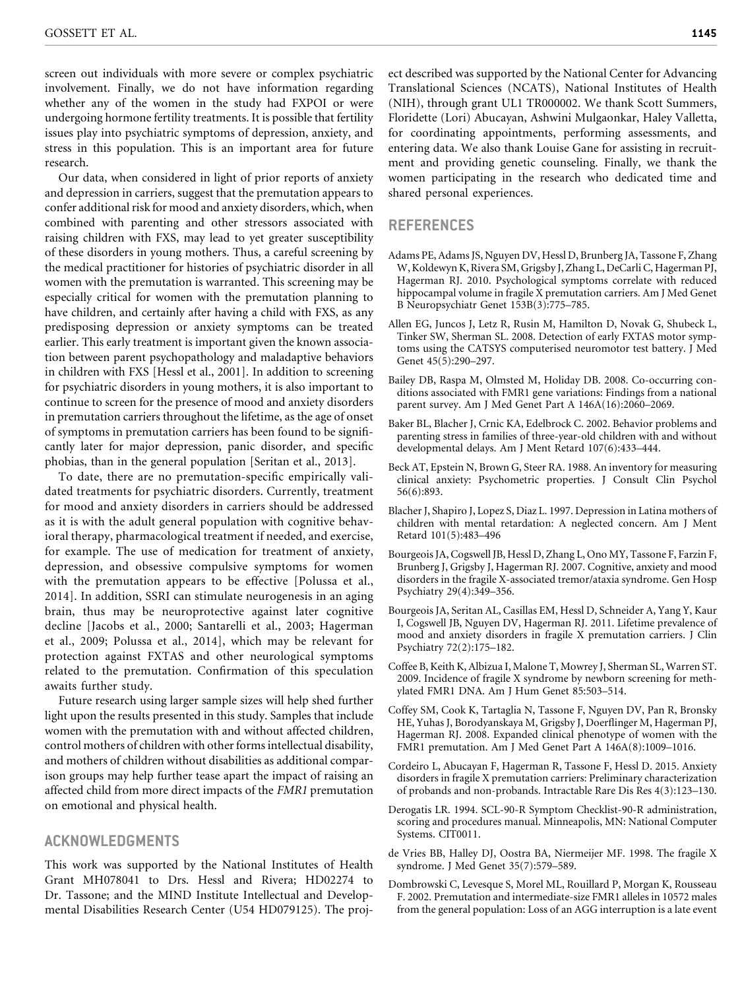screen out individuals with more severe or complex psychiatric involvement. Finally, we do not have information regarding whether any of the women in the study had FXPOI or were undergoing hormone fertility treatments. It is possible that fertility issues play into psychiatric symptoms of depression, anxiety, and stress in this population. This is an important area for future research.

Our data, when considered in light of prior reports of anxiety and depression in carriers, suggest that the premutation appears to confer additional risk for mood and anxiety disorders, which, when combined with parenting and other stressors associated with raising children with FXS, may lead to yet greater susceptibility of these disorders in young mothers. Thus, a careful screening by the medical practitioner for histories of psychiatric disorder in all women with the premutation is warranted. This screening may be especially critical for women with the premutation planning to have children, and certainly after having a child with FXS, as any predisposing depression or anxiety symptoms can be treated earlier. This early treatment is important given the known association between parent psychopathology and maladaptive behaviors in children with FXS [Hessl et al., 2001]. In addition to screening for psychiatric disorders in young mothers, it is also important to continue to screen for the presence of mood and anxiety disorders in premutation carriers throughout the lifetime, as the age of onset of symptoms in premutation carriers has been found to be significantly later for major depression, panic disorder, and specific phobias, than in the general population [Seritan et al., 2013].

To date, there are no premutation-specific empirically validated treatments for psychiatric disorders. Currently, treatment for mood and anxiety disorders in carriers should be addressed as it is with the adult general population with cognitive behavioral therapy, pharmacological treatment if needed, and exercise, for example. The use of medication for treatment of anxiety, depression, and obsessive compulsive symptoms for women with the premutation appears to be effective [Polussa et al., 2014]. In addition, SSRI can stimulate neurogenesis in an aging brain, thus may be neuroprotective against later cognitive decline [Jacobs et al., 2000; Santarelli et al., 2003; Hagerman et al., 2009; Polussa et al., 2014], which may be relevant for protection against FXTAS and other neurological symptoms related to the premutation. Confirmation of this speculation awaits further study.

Future research using larger sample sizes will help shed further light upon the results presented in this study. Samples that include women with the premutation with and without affected children, control mothers of children with other forms intellectual disability, and mothers of children without disabilities as additional comparison groups may help further tease apart the impact of raising an affected child from more direct impacts of the FMR1 premutation on emotional and physical health.

#### ACKNOWLEDGMENTS

This work was supported by the National Institutes of Health Grant MH078041 to Drs. Hessl and Rivera; HD02274 to Dr. Tassone; and the MIND Institute Intellectual and Developmental Disabilities Research Center (U54 HD079125). The project described was supported by the National Center for Advancing Translational Sciences (NCATS), National Institutes of Health (NIH), through grant UL1 TR000002. We thank Scott Summers, Floridette (Lori) Abucayan, Ashwini Mulgaonkar, Haley Valletta, for coordinating appointments, performing assessments, and entering data. We also thank Louise Gane for assisting in recruitment and providing genetic counseling. Finally, we thank the women participating in the research who dedicated time and shared personal experiences.

#### REFERENCES

- Adams PE, Adams JS, Nguyen DV, Hessl D, Brunberg JA, Tassone F, Zhang W, Koldewyn K, Rivera SM, Grigsby J, Zhang L, DeCarli C, Hagerman PJ, Hagerman RJ. 2010. Psychological symptoms correlate with reduced hippocampal volume in fragile X premutation carriers. Am J Med Genet B Neuropsychiatr Genet 153B(3):775–785.
- Allen EG, Juncos J, Letz R, Rusin M, Hamilton D, Novak G, Shubeck L, Tinker SW, Sherman SL. 2008. Detection of early FXTAS motor symptoms using the CATSYS computerised neuromotor test battery. J Med Genet 45(5):290–297.
- Bailey DB, Raspa M, Olmsted M, Holiday DB. 2008. Co-occurring conditions associated with FMR1 gene variations: Findings from a national parent survey. Am J Med Genet Part A 146A(16):2060–2069.
- Baker BL, Blacher J, Crnic KA, Edelbrock C. 2002. Behavior problems and parenting stress in families of three-year-old children with and without developmental delays. Am J Ment Retard 107(6):433–444.
- Beck AT, Epstein N, Brown G, Steer RA. 1988. An inventory for measuring clinical anxiety: Psychometric properties. J Consult Clin Psychol 56(6):893.
- Blacher J, Shapiro J, Lopez S, Diaz L. 1997. Depression in Latina mothers of children with mental retardation: A neglected concern. Am J Ment Retard 101(5):483–496
- Bourgeois JA, Cogswell JB, Hessl D, Zhang L, Ono MY, Tassone F, Farzin F, Brunberg J, Grigsby J, Hagerman RJ. 2007. Cognitive, anxiety and mood disorders in the fragile X-associated tremor/ataxia syndrome. Gen Hosp Psychiatry 29(4):349–356.
- Bourgeois JA, Seritan AL, Casillas EM, Hessl D, Schneider A, Yang Y, Kaur I, Cogswell JB, Nguyen DV, Hagerman RJ. 2011. Lifetime prevalence of mood and anxiety disorders in fragile X premutation carriers. J Clin Psychiatry 72(2):175–182.
- Coffee B, Keith K, Albizua I, Malone T, Mowrey J, Sherman SL, Warren ST. 2009. Incidence of fragile X syndrome by newborn screening for methylated FMR1 DNA. Am J Hum Genet 85:503–514.
- Coffey SM, Cook K, Tartaglia N, Tassone F, Nguyen DV, Pan R, Bronsky HE, Yuhas J, Borodyanskaya M, Grigsby J, Doerflinger M, Hagerman PJ, Hagerman RJ. 2008. Expanded clinical phenotype of women with the FMR1 premutation. Am J Med Genet Part A 146A(8):1009–1016.
- Cordeiro L, Abucayan F, Hagerman R, Tassone F, Hessl D. 2015. Anxiety disorders in fragile X premutation carriers: Preliminary characterization of probands and non-probands. Intractable Rare Dis Res 4(3):123–130.
- Derogatis LR. 1994. SCL-90-R Symptom Checklist-90-R administration, scoring and procedures manual. Minneapolis, MN: National Computer Systems. CIT0011.
- de Vries BB, Halley DJ, Oostra BA, Niermeijer MF. 1998. The fragile X syndrome. J Med Genet 35(7):579–589.
- Dombrowski C, Levesque S, Morel ML, Rouillard P, Morgan K, Rousseau F. 2002. Premutation and intermediate-size FMR1 alleles in 10572 males from the general population: Loss of an AGG interruption is a late event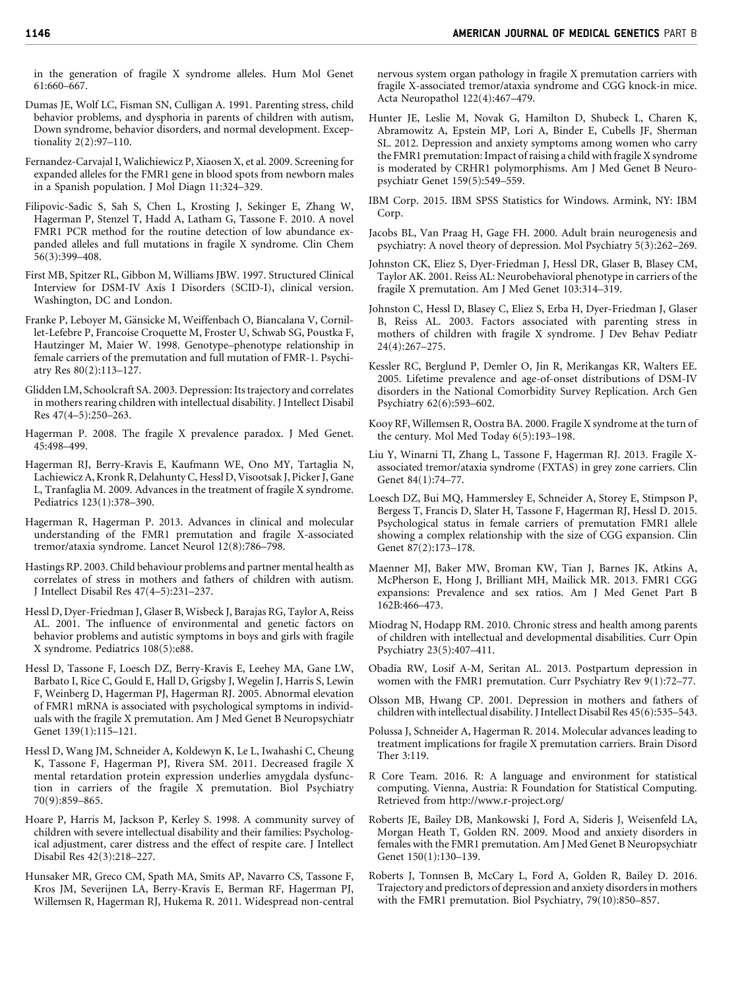in the generation of fragile X syndrome alleles. Hum Mol Genet 61:660–667.

- Dumas JE, Wolf LC, Fisman SN, Culligan A. 1991. Parenting stress, child behavior problems, and dysphoria in parents of children with autism, Down syndrome, behavior disorders, and normal development. Exceptionality 2(2):97–110.
- Fernandez-Carvajal I, Walichiewicz P, Xiaosen X, et al. 2009. Screening for expanded alleles for the FMR1 gene in blood spots from newborn males in a Spanish population. J Mol Diagn 11:324–329.
- Filipovic-Sadic S, Sah S, Chen L, Krosting J, Sekinger E, Zhang W, Hagerman P, Stenzel T, Hadd A, Latham G, Tassone F. 2010. A novel FMR1 PCR method for the routine detection of low abundance expanded alleles and full mutations in fragile X syndrome. Clin Chem 56(3):399–408.
- First MB, Spitzer RL, Gibbon M, Williams JBW. 1997. Structured Clinical Interview for DSM-IV Axis I Disorders (SCID-I), clinical version. Washington, DC and London.
- Franke P, Leboyer M, Gänsicke M, Weiffenbach O, Biancalana V, Cornillet-Lefebre P, Francoise Croquette M, Froster U, Schwab SG, Poustka F, Hautzinger M, Maier W. 1998. Genotype–phenotype relationship in female carriers of the premutation and full mutation of FMR-1. Psychiatry Res 80(2):113–127.
- Glidden LM, Schoolcraft SA. 2003. Depression: Its trajectory and correlates in mothers rearing children with intellectual disability. J Intellect Disabil Res 47(4–5):250–263.
- Hagerman P. 2008. The fragile X prevalence paradox. J Med Genet. 45:498–499.
- Hagerman RJ, Berry-Kravis E, Kaufmann WE, Ono MY, Tartaglia N, Lachiewicz A, Kronk R, Delahunty C, Hessl D, Visootsak J, Picker J, Gane L, Tranfaglia M. 2009. Advances in the treatment of fragile X syndrome. Pediatrics 123(1):378–390.
- Hagerman R, Hagerman P. 2013. Advances in clinical and molecular understanding of the FMR1 premutation and fragile X-associated tremor/ataxia syndrome. Lancet Neurol 12(8):786–798.
- Hastings RP. 2003. Child behaviour problems and partner mental health as correlates of stress in mothers and fathers of children with autism. J Intellect Disabil Res 47(4–5):231–237.
- Hessl D, Dyer-Friedman J, Glaser B, Wisbeck J, Barajas RG, Taylor A, Reiss AL. 2001. The influence of environmental and genetic factors on behavior problems and autistic symptoms in boys and girls with fragile X syndrome. Pediatrics 108(5):e88.
- Hessl D, Tassone F, Loesch DZ, Berry-Kravis E, Leehey MA, Gane LW, Barbato I, Rice C, Gould E, Hall D, Grigsby J, Wegelin J, Harris S, Lewin F, Weinberg D, Hagerman PJ, Hagerman RJ. 2005. Abnormal elevation of FMR1 mRNA is associated with psychological symptoms in individuals with the fragile X premutation. Am J Med Genet B Neuropsychiatr Genet 139(1):115–121.
- Hessl D, Wang JM, Schneider A, Koldewyn K, Le L, Iwahashi C, Cheung K, Tassone F, Hagerman PJ, Rivera SM. 2011. Decreased fragile X mental retardation protein expression underlies amygdala dysfunction in carriers of the fragile X premutation. Biol Psychiatry 70(9):859–865.
- Hoare P, Harris M, Jackson P, Kerley S. 1998. A community survey of children with severe intellectual disability and their families: Psychological adjustment, carer distress and the effect of respite care. J Intellect Disabil Res 42(3):218–227.
- Hunsaker MR, Greco CM, Spath MA, Smits AP, Navarro CS, Tassone F, Kros JM, Severijnen LA, Berry-Kravis E, Berman RF, Hagerman PJ, Willemsen R, Hagerman RJ, Hukema R. 2011. Widespread non-central

nervous system organ pathology in fragile X premutation carriers with fragile X-associated tremor/ataxia syndrome and CGG knock-in mice. Acta Neuropathol 122(4):467–479.

- Hunter JE, Leslie M, Novak G, Hamilton D, Shubeck L, Charen K, Abramowitz A, Epstein MP, Lori A, Binder E, Cubells JF, Sherman SL. 2012. Depression and anxiety symptoms among women who carry the FMR1 premutation: Impact of raising a child with fragile X syndrome is moderated by CRHR1 polymorphisms. Am J Med Genet B Neuropsychiatr Genet 159(5):549–559.
- IBM Corp. 2015. IBM SPSS Statistics for Windows. Armink, NY: IBM Corp.
- Jacobs BL, Van Praag H, Gage FH. 2000. Adult brain neurogenesis and psychiatry: A novel theory of depression. Mol Psychiatry 5(3):262–269.
- Johnston CK, Eliez S, Dyer-Friedman J, Hessl DR, Glaser B, Blasey CM, Taylor AK. 2001. Reiss AL: Neurobehavioral phenotype in carriers of the fragile X premutation. Am J Med Genet 103:314–319.
- Johnston C, Hessl D, Blasey C, Eliez S, Erba H, Dyer-Friedman J, Glaser B, Reiss AL. 2003. Factors associated with parenting stress in mothers of children with fragile X syndrome. J Dev Behav Pediatr 24(4):267–275.
- Kessler RC, Berglund P, Demler O, Jin R, Merikangas KR, Walters EE. 2005. Lifetime prevalence and age-of-onset distributions of DSM-IV disorders in the National Comorbidity Survey Replication. Arch Gen Psychiatry 62(6):593–602.
- Kooy RF, Willemsen R, Oostra BA. 2000. Fragile X syndrome at the turn of the century. Mol Med Today 6(5):193–198.
- Liu Y, Winarni TI, Zhang L, Tassone F, Hagerman RJ. 2013. Fragile Xassociated tremor/ataxia syndrome (FXTAS) in grey zone carriers. Clin Genet 84(1):74–77.
- Loesch DZ, Bui MQ, Hammersley E, Schneider A, Storey E, Stimpson P, Bergess T, Francis D, Slater H, Tassone F, Hagerman RJ, Hessl D. 2015. Psychological status in female carriers of premutation FMR1 allele showing a complex relationship with the size of CGG expansion. Clin Genet 87(2):173–178.
- Maenner MJ, Baker MW, Broman KW, Tian J, Barnes JK, Atkins A, McPherson E, Hong J, Brilliant MH, Mailick MR. 2013. FMR1 CGG expansions: Prevalence and sex ratios. Am J Med Genet Part B 162B:466–473.
- Miodrag N, Hodapp RM. 2010. Chronic stress and health among parents of children with intellectual and developmental disabilities. Curr Opin Psychiatry 23(5):407–411.
- Obadia RW, Losif A-M, Seritan AL. 2013. Postpartum depression in women with the FMR1 premutation. Curr Psychiatry Rev 9(1):72–77.
- Olsson MB, Hwang CP. 2001. Depression in mothers and fathers of children with intellectual disability. J Intellect Disabil Res 45(6):535–543.
- Polussa J, Schneider A, Hagerman R. 2014. Molecular advances leading to treatment implications for fragile X premutation carriers. Brain Disord Ther 3:119.
- R Core Team. 2016. R: A language and environment for statistical computing. Vienna, Austria: R Foundation for Statistical Computing. Retrieved from<http://www.r-project.org/>
- Roberts JE, Bailey DB, Mankowski J, Ford A, Sideris J, Weisenfeld LA, Morgan Heath T, Golden RN. 2009. Mood and anxiety disorders in females with the FMR1 premutation. Am J Med Genet B Neuropsychiatr Genet 150(1):130–139.
- Roberts J, Tonnsen B, McCary L, Ford A, Golden R, Bailey D. 2016. Trajectory and predictors of depression and anxiety disorders in mothers with the FMR1 premutation. Biol Psychiatry, 79(10):850–857.